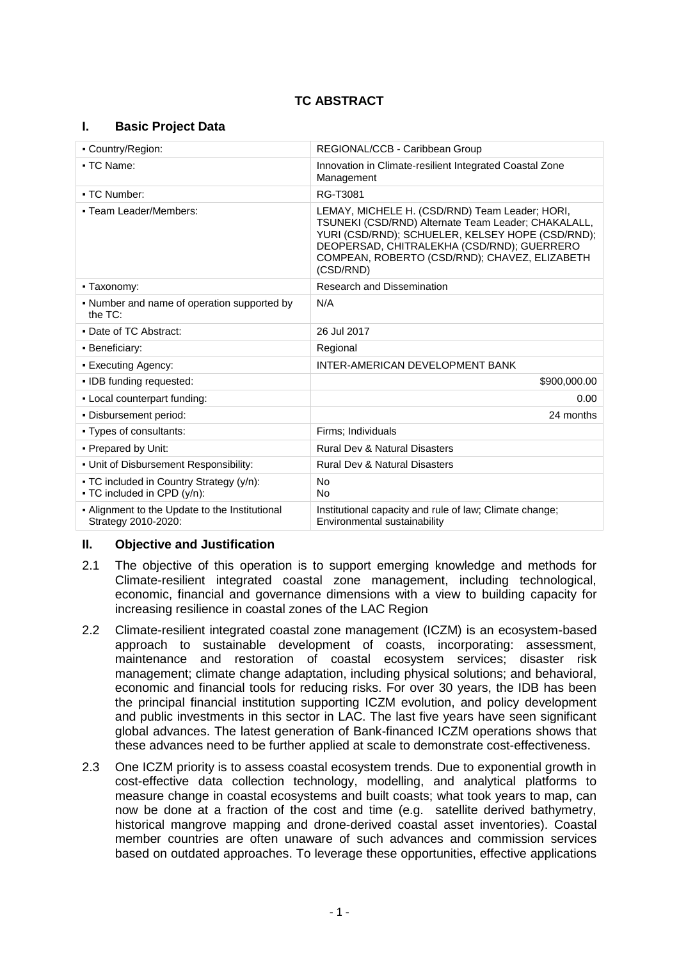# **TC ABSTRACT**

## **I. Basic Project Data**

| • Country/Region:                                                       | REGIONAL/CCB - Caribbean Group                                                                                                                                                                                                                                        |  |
|-------------------------------------------------------------------------|-----------------------------------------------------------------------------------------------------------------------------------------------------------------------------------------------------------------------------------------------------------------------|--|
| • TC Name:                                                              | Innovation in Climate-resilient Integrated Coastal Zone<br>Management                                                                                                                                                                                                 |  |
| • TC Number:                                                            | RG-T3081                                                                                                                                                                                                                                                              |  |
| • Team Leader/Members:                                                  | LEMAY, MICHELE H. (CSD/RND) Team Leader; HORI,<br>TSUNEKI (CSD/RND) Alternate Team Leader; CHAKALALL,<br>YURI (CSD/RND); SCHUELER, KELSEY HOPE (CSD/RND);<br>DEOPERSAD, CHITRALEKHA (CSD/RND); GUERRERO<br>COMPEAN, ROBERTO (CSD/RND); CHAVEZ, ELIZABETH<br>(CSD/RND) |  |
| • Taxonomy:                                                             | Research and Dissemination                                                                                                                                                                                                                                            |  |
| - Number and name of operation supported by<br>the $TC$ :               | N/A                                                                                                                                                                                                                                                                   |  |
| • Date of TC Abstract:                                                  | 26 Jul 2017                                                                                                                                                                                                                                                           |  |
| · Beneficiary:                                                          | Regional                                                                                                                                                                                                                                                              |  |
| • Executing Agency:                                                     | <b>INTER-AMERICAN DEVELOPMENT BANK</b>                                                                                                                                                                                                                                |  |
| . IDB funding requested:                                                | \$900,000.00                                                                                                                                                                                                                                                          |  |
| - Local counterpart funding:                                            | 0.00                                                                                                                                                                                                                                                                  |  |
| . Disbursement period:                                                  | 24 months                                                                                                                                                                                                                                                             |  |
| • Types of consultants:                                                 | Firms: Individuals                                                                                                                                                                                                                                                    |  |
| • Prepared by Unit:                                                     | <b>Rural Dev &amp; Natural Disasters</b>                                                                                                                                                                                                                              |  |
| • Unit of Disbursement Responsibility:                                  | <b>Rural Dev &amp; Natural Disasters</b>                                                                                                                                                                                                                              |  |
| • TC included in Country Strategy (y/n):<br>• TC included in CPD (y/n): | <b>No</b><br>No.                                                                                                                                                                                                                                                      |  |
| - Alignment to the Update to the Institutional<br>Strategy 2010-2020:   | Institutional capacity and rule of law; Climate change;<br>Environmental sustainability                                                                                                                                                                               |  |

## **II. Objective and Justification**

- 2.1 The objective of this operation is to support emerging knowledge and methods for Climate-resilient integrated coastal zone management, including technological, economic, financial and governance dimensions with a view to building capacity for increasing resilience in coastal zones of the LAC Region
- 2.2 Climate-resilient integrated coastal zone management (ICZM) is an ecosystem-based approach to sustainable development of coasts, incorporating: assessment, maintenance and restoration of coastal ecosystem services; disaster risk management; climate change adaptation, including physical solutions; and behavioral, economic and financial tools for reducing risks. For over 30 years, the IDB has been the principal financial institution supporting ICZM evolution, and policy development and public investments in this sector in LAC. The last five years have seen significant global advances. The latest generation of Bank-financed ICZM operations shows that these advances need to be further applied at scale to demonstrate cost-effectiveness.
- 2.3 One ICZM priority is to assess coastal ecosystem trends. Due to exponential growth in cost-effective data collection technology, modelling, and analytical platforms to measure change in coastal ecosystems and built coasts; what took years to map, can now be done at a fraction of the cost and time (e.g. satellite derived bathymetry, historical mangrove mapping and drone-derived coastal asset inventories). Coastal member countries are often unaware of such advances and commission services based on outdated approaches. To leverage these opportunities, effective applications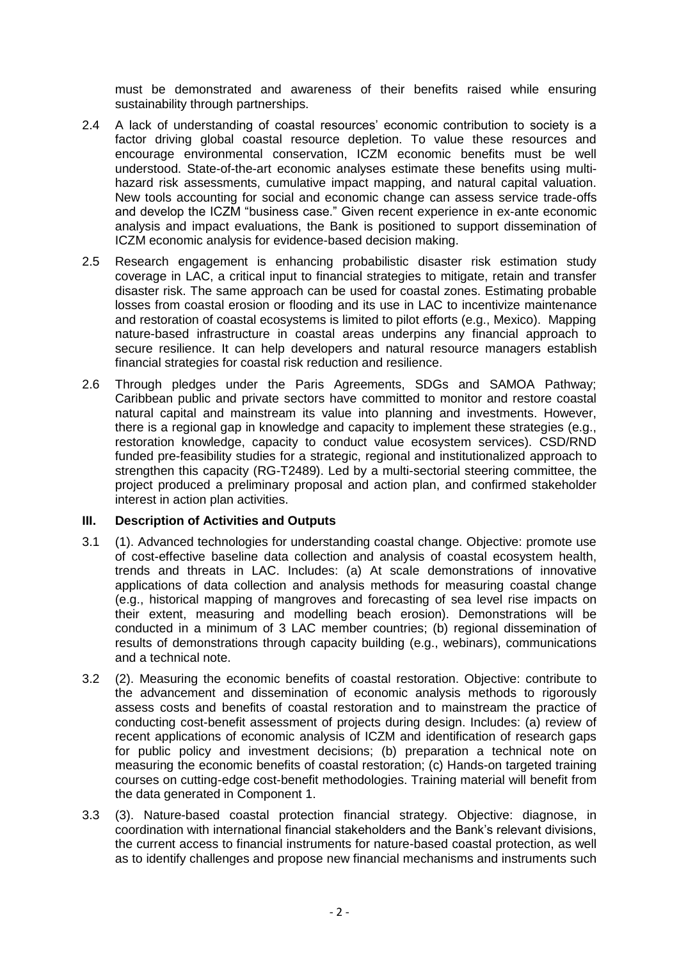must be demonstrated and awareness of their benefits raised while ensuring sustainability through partnerships.

- 2.4 A lack of understanding of coastal resources' economic contribution to society is a factor driving global coastal resource depletion. To value these resources and encourage environmental conservation, ICZM economic benefits must be well understood. State-of-the-art economic analyses estimate these benefits using multihazard risk assessments, cumulative impact mapping, and natural capital valuation. New tools accounting for social and economic change can assess service trade-offs and develop the ICZM "business case." Given recent experience in ex-ante economic analysis and impact evaluations, the Bank is positioned to support dissemination of ICZM economic analysis for evidence-based decision making.
- 2.5 Research engagement is enhancing probabilistic disaster risk estimation study coverage in LAC, a critical input to financial strategies to mitigate, retain and transfer disaster risk. The same approach can be used for coastal zones. Estimating probable losses from coastal erosion or flooding and its use in LAC to incentivize maintenance and restoration of coastal ecosystems is limited to pilot efforts (e.g., Mexico). Mapping nature-based infrastructure in coastal areas underpins any financial approach to secure resilience. It can help developers and natural resource managers establish financial strategies for coastal risk reduction and resilience.
- 2.6 Through pledges under the Paris Agreements, SDGs and SAMOA Pathway; Caribbean public and private sectors have committed to monitor and restore coastal natural capital and mainstream its value into planning and investments. However, there is a regional gap in knowledge and capacity to implement these strategies (e.g., restoration knowledge, capacity to conduct value ecosystem services). CSD/RND funded pre-feasibility studies for a strategic, regional and institutionalized approach to strengthen this capacity (RG-T2489). Led by a multi-sectorial steering committee, the project produced a preliminary proposal and action plan, and confirmed stakeholder interest in action plan activities.

## **III. Description of Activities and Outputs**

- 3.1 (1). Advanced technologies for understanding coastal change. Objective: promote use of cost-effective baseline data collection and analysis of coastal ecosystem health, trends and threats in LAC. Includes: (a) At scale demonstrations of innovative applications of data collection and analysis methods for measuring coastal change (e.g., historical mapping of mangroves and forecasting of sea level rise impacts on their extent, measuring and modelling beach erosion). Demonstrations will be conducted in a minimum of 3 LAC member countries; (b) regional dissemination of results of demonstrations through capacity building (e.g., webinars), communications and a technical note.
- 3.2 (2). Measuring the economic benefits of coastal restoration. Objective: contribute to the advancement and dissemination of economic analysis methods to rigorously assess costs and benefits of coastal restoration and to mainstream the practice of conducting cost-benefit assessment of projects during design. Includes: (a) review of recent applications of economic analysis of ICZM and identification of research gaps for public policy and investment decisions; (b) preparation a technical note on measuring the economic benefits of coastal restoration; (c) Hands-on targeted training courses on cutting-edge cost-benefit methodologies. Training material will benefit from the data generated in Component 1.
- 3.3 (3). Nature-based coastal protection financial strategy. Objective: diagnose, in coordination with international financial stakeholders and the Bank's relevant divisions, the current access to financial instruments for nature-based coastal protection, as well as to identify challenges and propose new financial mechanisms and instruments such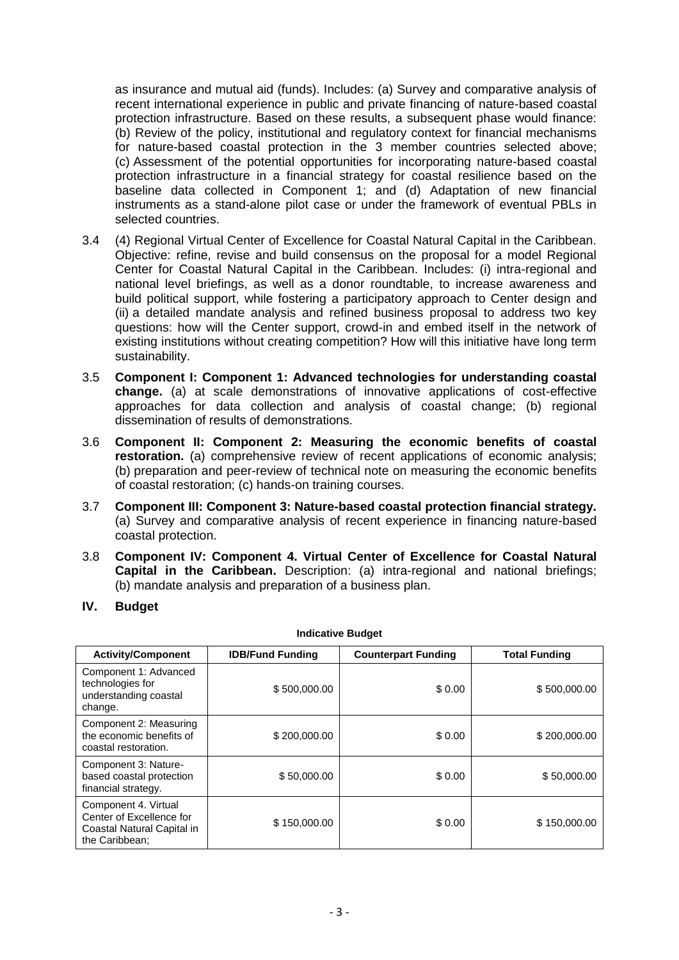as insurance and mutual aid (funds). Includes: (a) Survey and comparative analysis of recent international experience in public and private financing of nature-based coastal protection infrastructure. Based on these results, a subsequent phase would finance: (b) Review of the policy, institutional and regulatory context for financial mechanisms for nature-based coastal protection in the 3 member countries selected above; (c) Assessment of the potential opportunities for incorporating nature-based coastal protection infrastructure in a financial strategy for coastal resilience based on the baseline data collected in Component 1; and (d) Adaptation of new financial instruments as a stand-alone pilot case or under the framework of eventual PBLs in selected countries.

- 3.4 (4) Regional Virtual Center of Excellence for Coastal Natural Capital in the Caribbean. Objective: refine, revise and build consensus on the proposal for a model Regional Center for Coastal Natural Capital in the Caribbean. Includes: (i) intra-regional and national level briefings, as well as a donor roundtable, to increase awareness and build political support, while fostering a participatory approach to Center design and (ii) a detailed mandate analysis and refined business proposal to address two key questions: how will the Center support, crowd-in and embed itself in the network of existing institutions without creating competition? How will this initiative have long term sustainability.
- 3.5 **Component I: Component 1: Advanced technologies for understanding coastal change.** (a) at scale demonstrations of innovative applications of cost-effective approaches for data collection and analysis of coastal change; (b) regional dissemination of results of demonstrations.
- 3.6 **Component II: Component 2: Measuring the economic benefits of coastal restoration.** (a) comprehensive review of recent applications of economic analysis; (b) preparation and peer-review of technical note on measuring the economic benefits of coastal restoration; (c) hands-on training courses.
- 3.7 **Component III: Component 3: Nature-based coastal protection financial strategy.** (a) Survey and comparative analysis of recent experience in financing nature-based coastal protection.
- 3.8 **Component IV: Component 4. Virtual Center of Excellence for Coastal Natural Capital in the Caribbean.** Description: (a) intra-regional and national briefings; (b) mandate analysis and preparation of a business plan.
- **IV. Budget**

| <b>Activity/Component</b>                                                                        | <b>IDB/Fund Funding</b> | <b>Counterpart Funding</b> | <b>Total Funding</b> |  |
|--------------------------------------------------------------------------------------------------|-------------------------|----------------------------|----------------------|--|
| Component 1: Advanced<br>technologies for<br>understanding coastal<br>change.                    | \$500,000.00            | \$0.00                     | \$500,000.00         |  |
| Component 2: Measuring<br>the economic benefits of<br>coastal restoration.                       | \$200,000.00            | \$0.00                     | \$200,000.00         |  |
| Component 3: Nature-<br>based coastal protection<br>financial strategy.                          | \$50,000.00             | \$0.00                     | \$50,000.00          |  |
| Component 4. Virtual<br>Center of Excellence for<br>Coastal Natural Capital in<br>the Caribbean; | \$150,000.00            | \$0.00                     | \$150,000.00         |  |

**Indicative Budget**